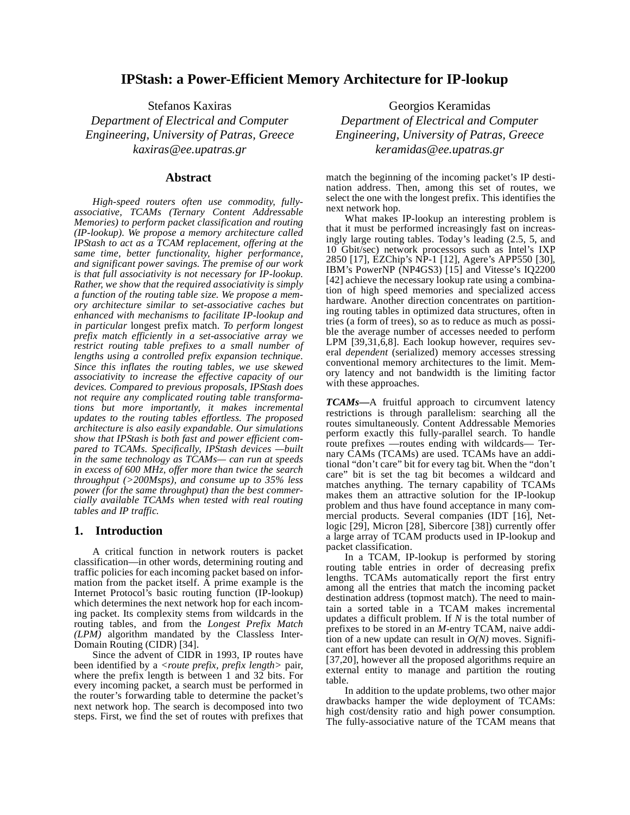# **IPStash: a Power-Efficient Memory Architecture for IP-lookup**

Stefanos Kaxiras

*Department of Electrical and Computer Engineering, University of Patras, Greece kaxiras@ee.upatras.gr*

# **Abstract**

*High-speed routers often use commodity, fullyassociative, TCAMs (Ternary Content Addressable Memories) to perform packet classification and routing (IP-lookup). We propose a memory architecture called IPStash to act as a TCAM replacement, offering at the same time, better functionality, higher performance, and significant power savings. The premise of our work is that full associativity is not necessary for IP-lookup. Rather, we show that the required associativity is simply a function of the routing table size. We propose a memory architecture similar to set-associative caches but enhanced with mechanisms to facilitate IP-lookup and in particular* longest prefix match. *To perform longest prefix match efficiently in a set-associative array we restrict routing table prefixes to a small number of lengths using a controlled prefix expansion technique. Since this inflates the routing tables, we use skewed associativity to increase the effective capacity of our devices. Compared to previous proposals, IPStash does not require any complicated routing table transformations but more importantly, it makes incremental updates to the routing tables effortless. The proposed architecture is also easily expandable. Our simulations show that IPStash is both fast and power efficient compared to TCAMs. Specifically, IPStash devices —built in the same technology as TCAMs— can run at speeds in excess of 600 MHz, offer more than twice the search throughput (>200Msps), and consume up to 35% less power (for the same throughput) than the best commercially available TCAMs when tested with real routing tables and IP traffic.*

# **1. Introduction**

A critical function in network routers is packet classification—in other words, determining routing and traffic policies for each incoming packet based on information from the packet itself. A prime example is the Internet Protocol's basic routing function (IP-lookup) which determines the next network hop for each incoming packet. Its complexity stems from wildcards in the routing tables, and from the *Longest Prefix Match (LPM)* algorithm mandated by the Classless Inter-Domain Routing (CIDR) [\[34\]](#page-11-0).

Since the advent of CIDR in 1993, IP routes have been identified by a *<route prefix, prefix length>* pair, where the prefix length is between 1 and 32 bits. For every incoming packet, a search must be performed in the router's forwarding table to determine the packet's next network hop. The search is decomposed into two steps. First, we find the set of routes with prefixes that

Georgios Keramidas *Department of Electrical and Computer Engineering, University of Patras, Greece keramidas@ee.upatras.gr*

match the beginning of the incoming packet's IP destination address. Then, among this set of routes, we select the one with the longest prefix. This identifies the next network hop.

What makes IP-lookup an interesting problem is that it must be performed increasingly fast on increasingly large routing tables. Today's leading (2.5, 5, and 10 Gbit/sec) network processors such as Intel's IXP 2850 [\[17\],](#page-11-5) EZChip's NP-1 [\[12\],](#page-11-6) Agere's APP550 [\[30\],](#page-11-4) IBM's PowerNP (NP4GS3) [\[15\]](#page-11-7) and Vitesse's IQ2200 [\[42\]](#page-11-8) achieve the necessary lookup rate using a combination of high speed memories and specialized access hardware. Another direction concentrates on partitioning routing tables in optimized data structures, often in tries (a form of trees), so as to reduce as much as possible the average number of accesses needed to perform LPM [\[39,](#page-11-9)[31](#page-11-10),[6,](#page-11-11)[8\].](#page-11-12) Each lookup however, requires several *dependent* (serialized) memory accesses stressing conventional memory architectures to the limit. Memory latency and not bandwidth is the limiting factor with these approaches.

*TCAMs—*A fruitful approach to circumvent latency restrictions is through parallelism: searching all the routes simultaneously. Content Addressable Memories perform exactly this fully-parallel search. To handle route prefixes —routes ending with wildcards— Ternary CAMs (TCAMs) are used. TCAMs have an additional "don't care" bit for every tag bit. When the "don't care" bit is set the tag bit becomes a wildcard and matches anything. The ternary capability of TCAMs makes them an attractive solution for the IP-lookup problem and thus have found acceptance in many commercial products. Several companies (IDT [\[16\]](#page-11-1), Netlogic [\[29\],](#page-11-2) Micron [\[28\],](#page-11-3) Sibercore [\[38\]](#page-11-13)) currently offer a large array of TCAM products used in IP-lookup and packet classification.

In a TCAM, IP-lookup is performed by storing routing table entries in order of decreasing prefix lengths. TCAMs automatically report the first entry among all the entries that match the incoming packet destination address (topmost match). The need to maintain a sorted table in a TCAM makes incremental updates a difficult problem. If *N* is the total number of prefixes to be stored in an *M*-entry TCAM, naive addition of a new update can result in  $O(N)$  moves. Significant effort has been devoted in addressing this problem [\[37](#page-11-14),[20\]](#page-11-15), however all the proposed algorithms require an external entity to manage and partition the routing table.

In addition to the update problems, two other major drawbacks hamper the wide deployment of TCAMs: high cost/density ratio and high power consumption. The fully-associative nature of the TCAM means that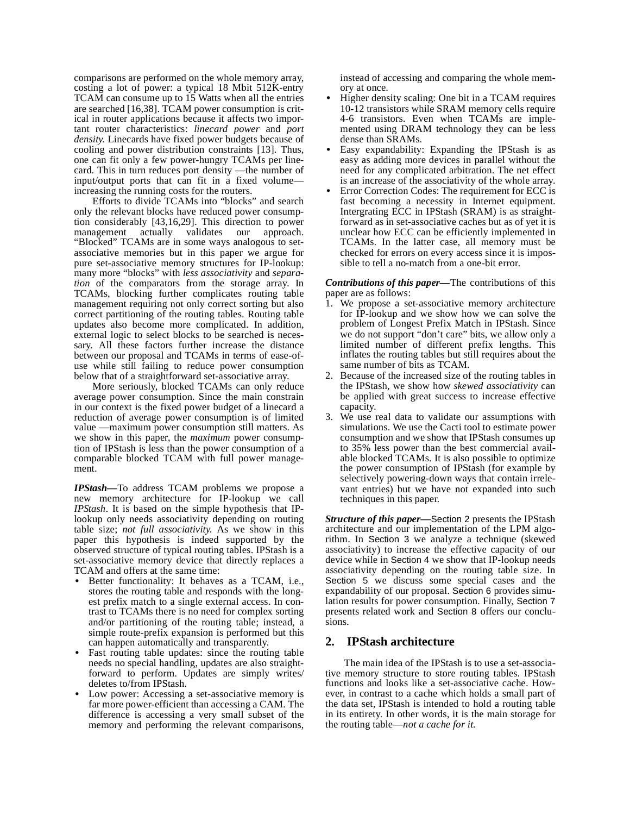comparisons are performed on the whole memory array, costing a lot of power: a typical 18 Mbit 512K-entry TCAM can consume up to 15 Watts when all the entries are searched [\[16](#page-11-1)[,38\].](#page-11-13) TCAM power consumption is critical in router applications because it affects two important router characteristics: *linecard power* and *port density.* Linecards have fixed power budgets because of cooling and power distribution constraints [\[13\].](#page-11-16) Thus, one can fit only a few power-hungry TCAMs per linecard. This in turn reduces port density —the number of input/output ports that can fit in a fixed volume increasing the running costs for the routers.

Efforts to divide TCAMs into "blocks" and search only the relevant blocks have reduced power consump-tion considerably [\[43,](#page-11-17)[16](#page-11-1),[29\]](#page-11-2). This direction to power<br>management actually validates our approach. management actually validates our approach. "Blocked" TCAMs are in some ways analogous to setassociative memories but in this paper we argue for pure set-associative memory structures for IP-lookup: many more "blocks" with *less associativity* and *separation* of the comparators from the storage array. In TCAMs, blocking further complicates routing table management requiring not only correct sorting but also correct partitioning of the routing tables. Routing table updates also become more complicated. In addition, external logic to select blocks to be searched is necessary. All these factors further increase the distance between our proposal and TCAMs in terms of ease-ofuse while still failing to reduce power consumption below that of a straightforward set-associative array.

More seriously, blocked TCAMs can only reduce average power consumption. Since the main constrain in our context is the fixed power budget of a linecard a reduction of average power consumption is of limited value —maximum power consumption still matters. As we show in this paper, the *maximum* power consumption of IPStash is less than the power consumption of a comparable blocked TCAM with full power management.

*IPStash—*To address TCAM problems we propose a new memory architecture for IP-lookup we call *IPStash*. It is based on the simple hypothesis that IPlookup only needs associativity depending on routing table size; *not full associativity*. As we show in this paper this hypothesis is indeed supported by the observed structure of typical routing tables. IPStash is a set-associative memory device that directly replaces a TCAM and offers at the same time:

- **•** Better functionality: It behaves as a TCAM, i.e., stores the routing table and responds with the longest prefix match to a single external access. In contrast to TCAMs there is no need for complex sorting and/or partitioning of the routing table; instead, a simple route-prefix expansion is performed but this can happen automatically and transparently.
- Fast routing table updates: since the routing table needs no special handling, updates are also straightforward to perform. Updates are simply writes/ deletes to/from IPStash.
- Low power: Accessing a set-associative memory is far more power-efficient than accessing a CAM. The difference is accessing a very small subset of the memory and performing the relevant comparisons,

instead of accessing and comparing the whole memory at once.

- **•** Higher density scaling: One bit in a TCAM requires 10-12 transistors while SRAM memory cells require 4-6 transistors. Even when TCAMs are implemented using DRAM technology they can be less dense than SRAMs.
- **•** Easy expandability: Expanding the IPStash is as easy as adding more devices in parallel without the need for any complicated arbitration. The net effect is an increase of the associativity of the whole array.
- **•** Error Correction Codes: The requirement for ECC is fast becoming a necessity in Internet equipment. Intergrating ECC in IPStash (SRAM) is as straightforward as in set-associative caches but as of yet it is unclear how ECC can be efficiently implemented in TCAMs. In the latter case, all memory must be checked for errors on every access since it is impossible to tell a no-match from a one-bit error.

*Contributions of this paper—*The contributions of this paper are as follows:

- 1. We propose a set-associative memory architecture for IP-lookup and we show how we can solve the problem of Longest Prefix Match in IPStash. Since we do not support "don't care" bits, we allow only a limited number of different prefix lengths. This inflates the routing tables but still requires about the same number of bits as TCAM.
- 2. Because of the increased size of the routing tables in the IPStash, we show how *skewed associativity* can be applied with great success to increase effective capacity.
- 3. We use real data to validate our assumptions with simulations. We use the Cacti tool to estimate power consumption and we show that IPStash consumes up to 35% less power than the best commercial available blocked TCAMs. It is also possible to optimize the power consumption of IPStash (for example by selectively powering-down ways that contain irrelevant entries) but we have not expanded into such techniques in this paper.

*Structure of this paper—*[Section 2](#page-1-0) presents the IPStash architecture and our implementation of the LPM algorithm. In [Section 3](#page-4-0) we analyze a technique (skewed associativity) to increase the effective capacity of our device while in [Section 4](#page-5-0) we show that IP-lookup needs associativity depending on the routing table size. In [Section 5](#page-6-0) we discuss some special cases and the expandability of our proposal. [Section 6](#page-7-0) provides simulation results for power consumption. Finally, [Section 7](#page-9-0) presents related work and [Section 8](#page-10-0) offers our conclusions.

# <span id="page-1-0"></span>**2. IPStash architecture**

The main idea of the IPStash is to use a set-associative memory structure to store routing tables. IPStash functions and looks like a set-associative cache. However, in contrast to a cache which holds a small part of the data set, IPStash is intended to hold a routing table in its entirety. In other words, it is the main storage for the routing table—*not a cache for it.*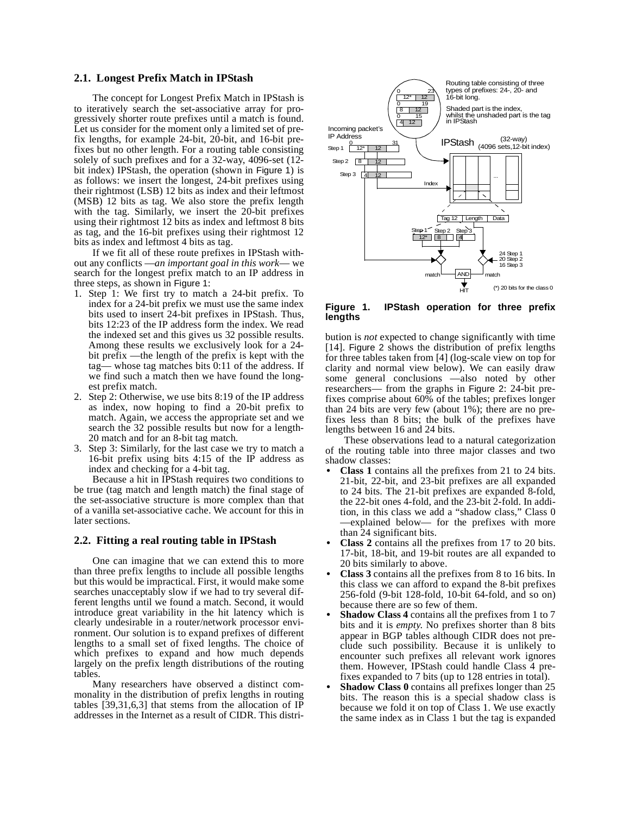# **2.1. Longest Prefix Match in IPStash**

The concept for Longest Prefix Match in IPStash is to iteratively search the set-associative array for progressively shorter route prefixes until a match is found. Let us consider for the moment only a limited set of prefix lengths, for example 24-bit, 20-bit, and 16-bit prefixes but no other length. For a routing table consisting solely of such prefixes and for a 32-way, 4096-set (12 bit index) IPStash, the operation (shown in [Figure 1](#page-2-0)) is as follows: we insert the longest, 24-bit prefixes using their rightmost (LSB) 12 bits as index and their leftmost (MSB) 12 bits as tag. We also store the prefix length with the tag. Similarly, we insert the 20-bit prefixes using their rightmost 12 bits as index and leftmost 8 bits as tag, and the 16-bit prefixes using their rightmost 12 bits as index and leftmost 4 bits as tag.

If we fit all of these route prefixes in IPStash without any conflicts —*an important goal in this work*— we search for the longest prefix match to an IP address in three steps, as shown in [Figure 1](#page-2-0):

- 1. Step 1: We first try to match a 24-bit prefix. To index for a 24-bit prefix we must use the same index bits used to insert 24-bit prefixes in IPStash. Thus, bits 12:23 of the IP address form the index. We read the indexed set and this gives us 32 possible results. Among these results we exclusively look for a 24 bit prefix —the length of the prefix is kept with the tag— whose tag matches bits 0:11 of the address. If we find such a match then we have found the longest prefix match.
- 2. Step 2: Otherwise, we use bits 8:19 of the IP address as index, now hoping to find a 20-bit prefix to match. Again, we access the appropriate set and we search the 32 possible results but now for a length-20 match and for an 8-bit tag match.
- 3. Step 3: Similarly, for the last case we try to match a 16-bit prefix using bits 4:15 of the IP address as index and checking for a 4-bit tag.

Because a hit in IPStash requires two conditions to be true (tag match and length match) the final stage of the set-associative structure is more complex than that of a vanilla set-associative cache. We account for this in later sections.

### <span id="page-2-1"></span>**2.2. Fitting a real routing table in IPStash**

One can imagine that we can extend this to more than three prefix lengths to include all possible lengths but this would be impractical. First, it would make some searches unacceptably slow if we had to try several different lengths until we found a match. Second, it would introduce great variability in the hit latency which is clearly undesirable in a router/network processor environment. Our solution is to expand prefixes of different lengths to a small set of fixed lengths. The choice of which prefixes to expand and how much depends largely on the prefix length distributions of the routing tables.

Many researchers have observed a distinct commonality in the distribution of prefix lengths in routing tables [\[39](#page-11-9),[31](#page-11-10)[,6](#page-11-11),[3\]](#page-11-18) that stems from the allocation of IP addresses in the Internet as a result of CIDR. This distri-



<span id="page-2-0"></span>**Figure 1. IPStash operation for three prefix lengths**

bution is *not* expected to change significantly with time [\[14\]](#page-11-19). [Figure 2](#page-3-0) shows the distribution of prefix lengths for three tables taken from [\[4\]](#page-11-20) (log-scale view on top for clarity and normal view below). We can easily draw some general conclusions —also noted by other researchers— from the graphs in [Figure 2](#page-3-0): 24-bit prefixes comprise about 60% of the tables; prefixes longer than 24 bits are very few (about 1%); there are no prefixes less than 8 bits; the bulk of the prefixes have lengths between 16 and 24 bits.

These observations lead to a natural categorization of the routing table into three major classes and two shadow classes:

- **• Class 1** contains all the prefixes from 21 to 24 bits. 21-bit, 22-bit, and 23-bit prefixes are all expanded to 24 bits. The 21-bit prefixes are expanded 8-fold, the 22-bit ones 4-fold, and the 23-bit 2-fold. In addition, in this class we add a "shadow class," Class 0 —explained below— for the prefixes with more than 24 significant bits.
- **• Class 2** contains all the prefixes from 17 to 20 bits. 17-bit, 18-bit, and 19-bit routes are all expanded to 20 bits similarly to above.
- **• Class 3** contains all the prefixes from 8 to 16 bits. In this class we can afford to expand the 8-bit prefixes 256-fold (9-bit 128-fold, 10-bit 64-fold, and so on) because there are so few of them.
- **• Shadow Class 4** contains all the prefixes from 1 to 7 bits and it is *empty*. No prefixes shorter than 8 bits appear in BGP tables although CIDR does not preclude such possibility. Because it is unlikely to encounter such prefixes all relevant work ignores them. However, IPStash could handle Class 4 prefixes expanded to 7 bits (up to 128 entries in total).
- **Shadow Class 0** contains all prefixes longer than 25 bits. The reason this is a special shadow class is because we fold it on top of Class 1. We use exactly the same index as in Class 1 but the tag is expanded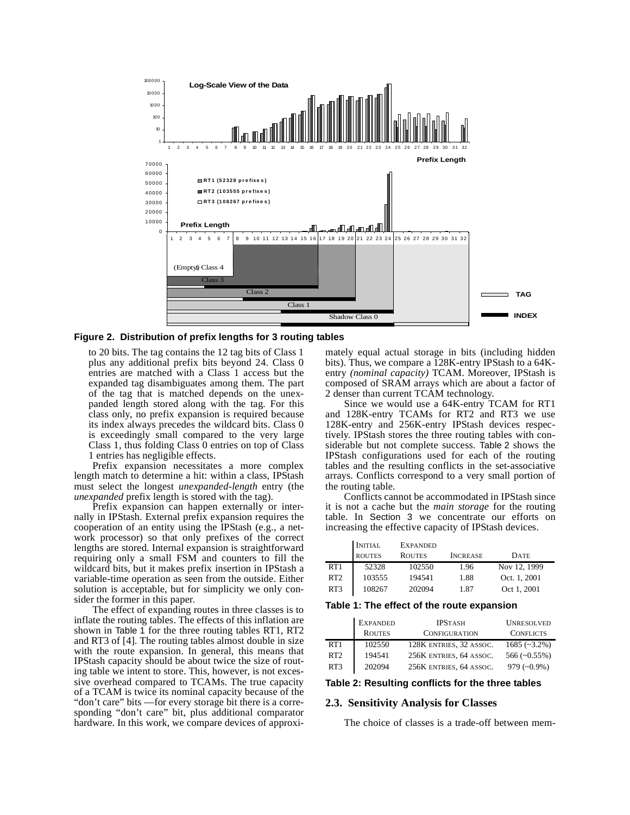

<span id="page-3-0"></span>**Figure 2. Distribution of prefix lengths for 3 routing tables**

to 20 bits. The tag contains the 12 tag bits of Class 1 plus any additional prefix bits beyond 24. Class 0 entries are matched with a Class 1 access but the expanded tag disambiguates among them. The part of the tag that is matched depends on the unexpanded length stored along with the tag. For this class only, no prefix expansion is required because its index always precedes the wildcard bits. Class 0 is exceedingly small compared to the very large Class 1, thus folding Class 0 entries on top of Class 1 entries has negligible effects.

Prefix expansion necessitates a more complex length match to determine a hit: within a class, IPStash must select the longest *unexpanded-length* entry (the *unexpanded* prefix length is stored with the tag).

Prefix expansion can happen externally or internally in IPStash. External prefix expansion requires the cooperation of an entity using the IPStash (e.g., a network processor) so that only prefixes of the correct lengths are stored. Internal expansion is straightforward requiring only a small FSM and counters to fill the wildcard bits, but it makes prefix insertion in IPStash a variable-time operation as seen from the outside. Either solution is acceptable, but for simplicity we only consider the former in this paper.

The effect of expanding routes in three classes is to inflate the routing tables. The effects of this inflation are shown in [Table 1](#page-3-1) for the three routing tables RT1, RT2 and RT3 of [\[4\].](#page-11-20) The routing tables almost double in size with the route expansion. In general, this means that IPStash capacity should be about twice the size of routing table we intent to store. This, however, is not excessive overhead compared to TCAMs. The true capacity of a TCAM is twice its nominal capacity because of the "don't care" bits —for every storage bit there is a corresponding "don't care" bit, plus additional comparator hardware. In this work, we compare devices of approximately equal actual storage in bits (including hidden bits). Thus, we compare a 128K-entry IPStash to a 64Kentry *(nominal capacity)* TCAM. Moreover, IPStash is composed of SRAM arrays which are about a factor of 2 denser than current TCAM technology.

Since we would use a 64K-entry TCAM for RT1 and 128K-entry TCAMs for RT2 and RT3 we use 128K-entry and 256K-entry IPStash devices respectively. IPStash stores the three routing tables with considerable but not complete success. [Table 2](#page-3-2) shows the IPStash configurations used for each of the routing tables and the resulting conflicts in the set-associative arrays. Conflicts correspond to a very small portion of the routing table.

Conflicts cannot be accommodated in IPStash since it is not a cache but the *main storage* for the routing table. In [Section 3](#page-4-0) we concentrate our efforts on increasing the effective capacity of IPStash devices.

|                 | <b>INITIAL</b> | <b>EXPANDED</b> |                 |              |
|-----------------|----------------|-----------------|-----------------|--------------|
|                 | <b>ROUTES</b>  | <b>ROUTES</b>   | <b>INCREASE</b> | DATE         |
| RT1             | 52328          | 102550          | 1.96            | Nov 12, 1999 |
| RT2             | 103555         | 194541          | 1.88            | Oct. 1, 2001 |
| RT <sub>3</sub> | 108267         | 202094          | 1.87            | Oct 1, 2001  |

<span id="page-3-1"></span>**Table 1: The effect of the route expansion**

|                 | <b>EXPANDED</b><br><b>ROUTES</b> | <b>IPSTASH</b><br><b>CONFIGURATION</b> | <b>UNRESOLVED</b><br><b>CONFLICTS</b> |
|-----------------|----------------------------------|----------------------------------------|---------------------------------------|
| RT1             | 102550                           | 128K ENTRIES, 32 ASSOC.                | $1685 (-3.2\%)$                       |
| RT <sub>2</sub> | 194541                           | 256K ENTRIES, 64 ASSOC.                | $566 (-0.55%)$                        |
| RT3             | 202094                           | 256K ENTRIES, 64 ASSOC.                | $979(-0.9\%)$                         |

### <span id="page-3-2"></span>**Table 2: Resulting conflicts for the three tables**

### **2.3. Sensitivity Analysis for Classes**

The choice of classes is a trade-off between mem-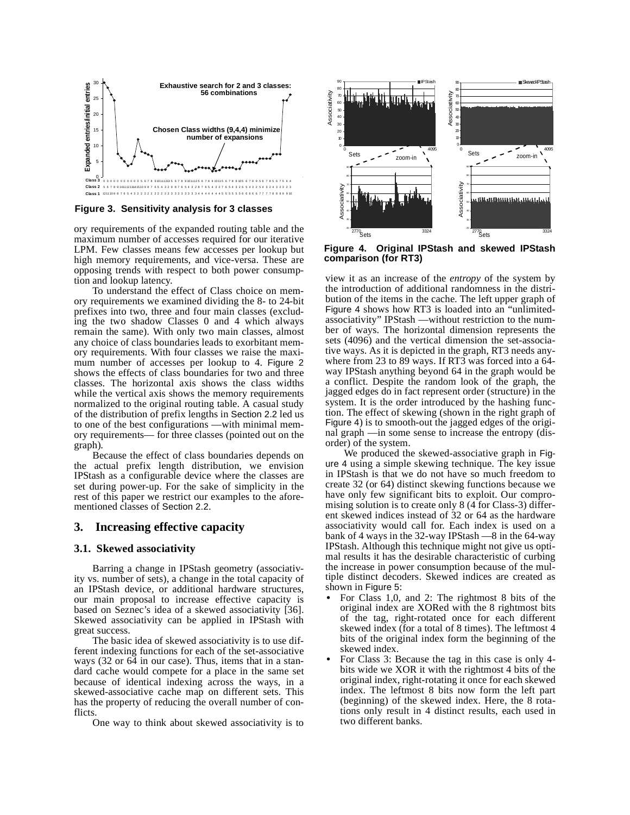

<span id="page-4-2"></span>**Figure 3. Sensitivity analysis for 3 classes**

ory requirements of the expanded routing table and the maximum number of accesses required for our iterative LPM. Few classes means few accesses per lookup but high memory requirements, and vice-versa. These are opposing trends with respect to both power consumption and lookup latency.

To understand the effect of Class choice on memory requirements we examined dividing the 8- to 24-bit prefixes into two, three and four main classes (excluding the two shadow Classes 0 and 4 which always remain the same). With only two main classes, almost any choice of class boundaries leads to exorbitant memory requirements. With four classes we raise the maximum number of accesses per lookup to 4. [Figure 2](#page-3-0) shows the effects of class boundaries for two and three classes. The horizontal axis shows the class widths while the vertical axis shows the memory requirements normalized to the original routing table. A casual study of the distribution of prefix lengths in [Section 2.2](#page-2-1) led us to one of the best configurations —with minimal memory requirements— for three classes (pointed out on the graph).

Because the effect of class boundaries depends on the actual prefix length distribution, we envision IPStash as a configurable device where the classes are set during power-up. For the sake of simplicity in the rest of this paper we restrict our examples to the aforementioned classes of [Section 2.2](#page-2-1).

## <span id="page-4-0"></span>**3. Increasing effective capacity**

### **3.1. Skewed associativity**

Barring a change in IPStash geometry (associativity vs. number of sets), a change in the total capacity of an IPStash device, or additional hardware structures, our main proposal to increase effective capacity is based on Seznec's idea of a skewed associativity [\[36\]](#page-11-21). Skewed associativity can be applied in IPStash with great success.

The basic idea of skewed associativity is to use different indexing functions for each of the set-associative ways (32 or 64 in our case). Thus, items that in a standard cache would compete for a place in the same set because of identical indexing across the ways, in a skewed-associative cache map on different sets. This has the property of reducing the overall number of conflicts.

One way to think about skewed associativity is to



<span id="page-4-1"></span>**Figure 4. Original IPStash and skewed IPStash comparison (for RT3)**

view it as an increase of the *entropy* of the system by the introduction of additional randomness in the distribution of the items in the cache. The left upper graph of [Figure 4](#page-4-1) shows how RT3 is loaded into an "unlimitedassociativity" IPStash —without restriction to the number of ways. The horizontal dimension represents the sets (4096) and the vertical dimension the set-associative ways. As it is depicted in the graph, RT3 needs anywhere from 23 to 89 ways. If RT3 was forced into a 64 way IPStash anything beyond 64 in the graph would be a conflict. Despite the random look of the graph, the jagged edges do in fact represent order (structure) in the system. It is the order introduced by the hashing function. The effect of skewing (shown in the right graph of [Figure 4](#page-4-1)) is to smooth-out the jagged edges of the original graph —in some sense to increase the entropy (disorder) of the system.

We produced the skewed-associative graph in [Fig](#page-4-1)[ure 4](#page-4-1) using a simple skewing technique. The key issue in IPStash is that we do not have so much freedom to create 32 (or 64) distinct skewing functions because we have only few significant bits to exploit. Our compromising solution is to create only 8 (4 for Class-3) different skewed indices instead of 32 or 64 as the hardware associativity would call for. Each index is used on a bank of 4 ways in the 32-way IPStash —8 in the 64-way IPStash. Although this technique might not give us optimal results it has the desirable characteristic of curbing the increase in power consumption because of the multiple distinct decoders. Skewed indices are created as shown in [Figure 5](#page-5-1):

- **•** For Class 1,0, and 2: The rightmost 8 bits of the original index are XORed with the 8 rightmost bits of the tag, right-rotated once for each different skewed index (for a total of 8 times). The leftmost 4 bits of the original index form the beginning of the skewed index.
- **•** For Class 3: Because the tag in this case is only 4 bits wide we XOR it with the rightmost 4 bits of the original index, right-rotating it once for each skewed index. The leftmost 8 bits now form the left part (beginning) of the skewed index. Here, the 8 rotations only result in 4 distinct results, each used in two different banks.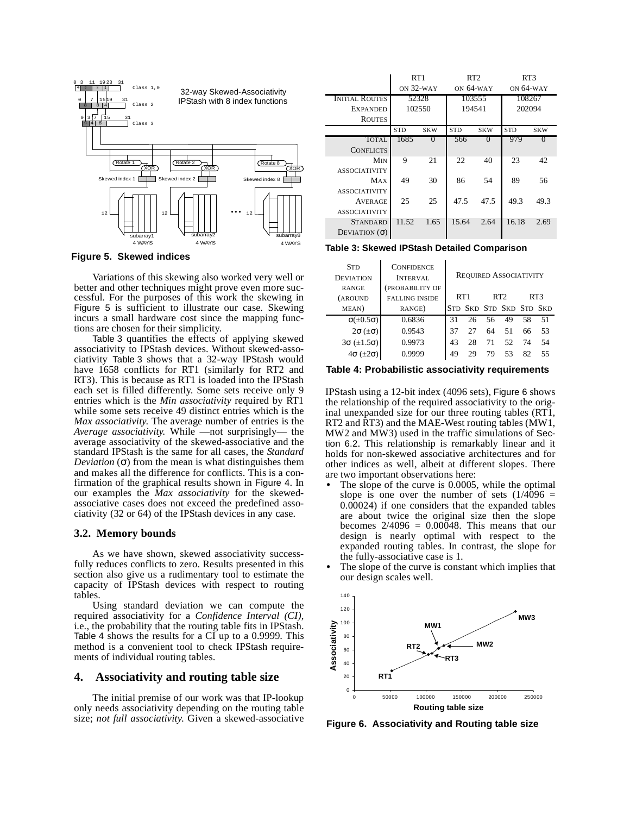

<span id="page-5-1"></span>**Figure 5. Skewed indices**

Variations of this skewing also worked very well or better and other techniques might prove even more successful. For the purposes of this work the skewing in [Figure 5](#page-5-1) is sufficient to illustrate our case. Skewing incurs a small hardware cost since the mapping functions are chosen for their simplicity.

[Table 3](#page-5-3) quantifies the effects of applying skewed associativity to IPStash devices. Without skewed-associativity [Table 3](#page-5-3) shows that a 32-way IPStash would have 1658 conflicts for RT1 (similarly for RT2 and RT3). This is because as RT1 is loaded into the IPStash each set is filled differently. Some sets receive only 9 entries which is the *Min associativity* required by RT1 while some sets receive 49 distinct entries which is the *Max associativity*. The average number of entries is the *Average associativity.* While —not surprisingly— the average associativity of the skewed-associative and the standard IPStash is the same for all cases, the *Standard Deviation* (σ) from the mean is what distinguishes them and makes all the difference for conflicts. This is a confirmation of the graphical results shown in [Figure 4](#page-4-1). In our examples the *Max associativity* for the skewedassociative cases does not exceed the predefined associativity (32 or 64) of the IPStash devices in any case.

### **3.2. Memory bounds**

As we have shown, skewed associativity successfully reduces conflicts to zero. Results presented in this section also give us a rudimentary tool to estimate the capacity of IPStash devices with respect to routing tables.

Using standard deviation we can compute the required associativity for a *Confidence Interval (CI)*, i.e., the probability that the routing table fits in IPStash. [Table 4](#page-5-4) shows the results for a  $C\bar{I}$  up to a 0.9999. This method is a convenient tool to check IPStash requirements of individual routing tables.

# <span id="page-5-0"></span>**4. Associativity and routing table size**

The initial premise of our work was that IP-lookup only needs associativity depending on the routing table size; *not full associativity*. Given a skewed-associative

|                       | RT1         |            | RT <sub>2</sub> |            | RT3        |            |
|-----------------------|-------------|------------|-----------------|------------|------------|------------|
|                       | $ON$ 32-WAY |            |                 | $ON64-WAY$ |            | $ON64-WAY$ |
| <b>INITIAL ROUTES</b> | 52328       |            | 103555          |            | 108267     |            |
| <b>EXPANDED</b>       |             | 102550     | 194541          |            | 202094     |            |
| <b>ROUTES</b>         |             |            |                 |            |            |            |
|                       | <b>STD</b>  | <b>SKW</b> | <b>STD</b>      | <b>SKW</b> | <b>STD</b> | <b>SKW</b> |
| <b>TOTAL</b>          | 1685        | $\Omega$   | 566             | $\Omega$   | 979        | $\Omega$   |
| <b>CONFLICTS</b>      |             |            |                 |            |            |            |
| Min                   | 9           | 21         | 22              | 40         | 23         | 42         |
| <b>ASSOCIATIVITY</b>  |             |            |                 |            |            |            |
| MAX                   | 49          | 30         | 86              | 54         | 89         | 56         |
| <b>ASSOCIATIVITY</b>  |             |            |                 |            |            |            |
| <b>AVERAGE</b>        | 25          | 25         | 47.5            | 47.5       | 49.3       | 49.3       |
| <b>ASSOCIATIVITY</b>  |             |            |                 |            |            |            |
| <b>STANDARD</b>       | 11.52       | 1.65       | 15.64           | 2.64       | 16.18      | 2.69       |
| DEVIATION $(\sigma)$  |             |            |                 |            |            |            |

<span id="page-5-3"></span>**Table 3: Skewed IPStash Detailed Comparison**

| Std<br>DEVIATION<br><b>RANGE</b> | <b>CONFIDENCE</b><br><b>INTERVAL</b><br>(PROBABILITY OF |    | <b>REQUIRED ASSOCIATIVITY</b> |    |     |    |     |
|----------------------------------|---------------------------------------------------------|----|-------------------------------|----|-----|----|-----|
| (AROUND                          | <b>FALLING INSIDE</b>                                   |    | RT1                           |    | RT2 |    | RT3 |
| MEAN)                            | RANGE)                                                  |    | STD SKD STD SKD STD SKD       |    |     |    |     |
| $\sigma(\pm 0.5\sigma)$          | 0.6836                                                  | 31 | 26                            | 56 | 49  | 58 | 51  |
| $2\sigma (\pm \sigma)$           | 0.9543                                                  | 37 | 27                            | 64 | 51  | 66 | 53  |
| $3\sigma (\pm 1.5\sigma)$        | 0.9973                                                  | 43 | 28                            | 71 | 52  | 74 | 54  |
| $4\sigma$ ( $\pm 2$              | 0.9999                                                  | 49 | 29                            | 79 | 53  | 82 | 55  |

<span id="page-5-4"></span>**Table 4: Probabilistic associativity requirements**

IPStash using a 12-bit index (4096 sets), [Figure 6](#page-5-2) shows the relationship of the required associativity to the original unexpanded size for our three routing tables (RT1, RT2 and RT3) and the MAE-West routing tables (MW1, MW2 and MW3) used in the traffic simulations of [Sec](#page-8-0)[tion 6.2](#page-8-0). This relationship is remarkably linear and it holds for non-skewed associative architectures and for other indices as well, albeit at different slopes. There are two important observations here:

- The slope of the curve is 0.0005, while the optimal slope is one over the number of sets  $(1/4096 =$ 0.00024) if one considers that the expanded tables are about twice the original size then the slope becomes  $2/4096 = 0.00048$ . This means that our design is nearly optimal with respect to the expanded routing tables. In contrast, the slope for the fully-associative case is 1.
- **•** The slope of the curve is constant which implies that our design scales well.



<span id="page-5-2"></span>**Figure 6. Associativity and Routing table size**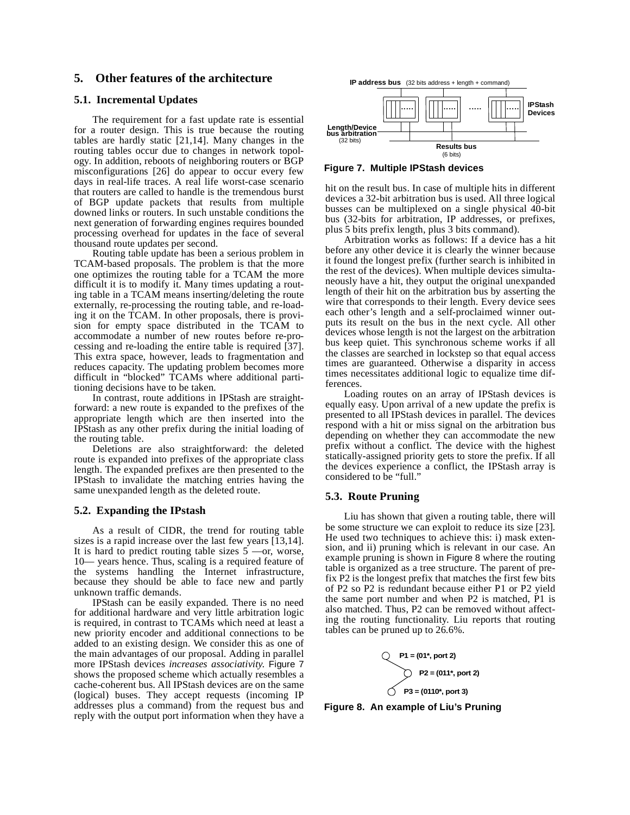# <span id="page-6-0"></span>**5. Other features of the architecture**

## **5.1. Incremental Updates**

The requirement for a fast update rate is essential for a router design. This is true because the routing tables are hardly static [\[21,](#page-11-23)[14\]](#page-11-19). Many changes in the routing tables occur due to changes in network topology. In addition, reboots of neighboring routers or BGP misconfigurations [\[26\]](#page-11-24) do appear to occur every few days in real-life traces. A real life worst-case scenario that routers are called to handle is the tremendous burst of BGP update packets that results from multiple downed links or routers. In such unstable conditions the next generation of forwarding engines requires bounded processing overhead for updates in the face of several thousand route updates per second.

Routing table update has been a serious problem in TCAM-based proposals. The problem is that the more one optimizes the routing table for a TCAM the more difficult it is to modify it. Many times updating a routing table in a TCAM means inserting/deleting the route externally, re-processing the routing table, and re-loading it on the TCAM. In other proposals, there is provision for empty space distributed in the TCAM to accommodate a number of new routes before re-processing and re-loading the entire table is required [\[37\]](#page-11-14). This extra space, however, leads to fragmentation and reduces capacity. The updating problem becomes more difficult in "blocked" TCAMs where additional partitioning decisions have to be taken.

In contrast, route additions in IPStash are straightforward: a new route is expanded to the prefixes of the appropriate length which are then inserted into the IPStash as any other prefix during the initial loading of the routing table.

Deletions are also straightforward: the deleted route is expanded into prefixes of the appropriate class length. The expanded prefixes are then presented to the IPStash to invalidate the matching entries having the same unexpanded length as the deleted route.

### <span id="page-6-3"></span>**5.2. Expanding the IPstash**

As a result of CIDR, the trend for routing table sizes is a rapid increase over the last few years [\[13](#page-11-16),[14\]](#page-11-19). It is hard to predict routing table sizes 5 —or, worse, 10— years hence. Thus, scaling is a required feature of the systems handling the Internet infrastructure, because they should be able to face new and partly unknown traffic demands.

IPStash can be easily expanded. There is no need for additional hardware and very little arbitration logic is required, in contrast to TCAMs which need at least a new priority encoder and additional connections to be added to an existing design. We consider this as one of the main advantages of our proposal. Adding in parallel more IPStash devices *increases associativity*. [Figure 7](#page-6-2) shows the proposed scheme which actually resembles a cache-coherent bus. All IPStash devices are on the same (logical) buses. They accept requests (incoming IP addresses plus a command) from the request bus and reply with the output port information when they have a



<span id="page-6-2"></span>**Figure 7. Multiple IPStash devices**

hit on the result bus. In case of multiple hits in different devices a 32-bit arbitration bus is used. All three logical busses can be multiplexed on a single physical 40-bit bus (32-bits for arbitration, IP addresses, or prefixes, plus 5 bits prefix length, plus 3 bits command).

Arbitration works as follows: If a device has a hit before any other device it is clearly the winner because it found the longest prefix (further search is inhibited in the rest of the devices). When multiple devices simultaneously have a hit, they output the original unexpanded length of their hit on the arbitration bus by asserting the wire that corresponds to their length. Every device sees each other's length and a self-proclaimed winner outputs its result on the bus in the next cycle. All other devices whose length is not the largest on the arbitration bus keep quiet. This synchronous scheme works if all the classes are searched in lockstep so that equal access times are guaranteed. Otherwise a disparity in access times necessitates additional logic to equalize time differences.

Loading routes on an array of IPStash devices is equally easy. Upon arrival of a new update the prefix is presented to all IPStash devices in parallel. The devices respond with a hit or miss signal on the arbitration bus depending on whether they can accommodate the new prefix without a conflict. The device with the highest statically-assigned priority gets to store the prefix. If all the devices experience a conflict, the IPStash array is considered to be "full."

#### **5.3. Route Pruning**

Liu has shown that given a routing table, there will be some structure we can exploit to reduce its size [\[23\].](#page-11-22) He used two techniques to achieve this: i) mask extension, and ii) pruning which is relevant in our case. An example pruning is shown in [Figure 8](#page-6-1) where the routing table is organized as a tree structure. The parent of prefix P2 is the longest prefix that matches the first few bits of P2 so P2 is redundant because either P1 or P2 yield the same port number and when P2 is matched, P1 is also matched. Thus, P2 can be removed without affecting the routing functionality. Liu reports that routing tables can be pruned up to 26.6%.

$$
P1 = (01*, port 2)
$$
  
P2 = (011<sup>\*</sup>, port 2)  
P3 = (0110<sup>\*</sup>, port 3)

<span id="page-6-1"></span>**Figure 8. An example of Liu's Pruning**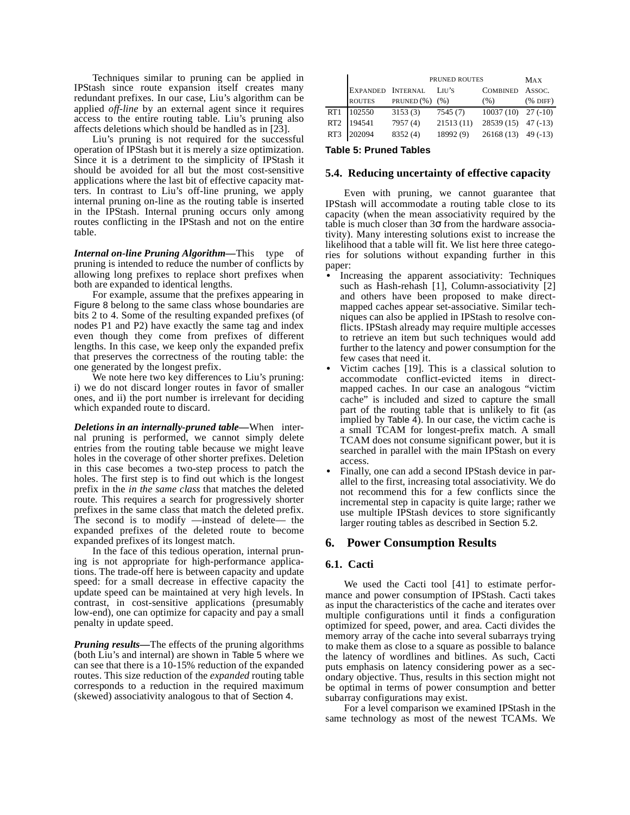Techniques similar to pruning can be applied in IPStash since route expansion itself creates many redundant prefixes. In our case, Liu's algorithm can be applied *off-line* by an external agent since it requires access to the entire routing table. Liu's pruning also affects deletions which should be handled as in [\[23\]](#page-11-22).

Liu's pruning is not required for the successful operation of IPStash but it is merely a size optimization. Since it is a detriment to the simplicity of IPStash it should be avoided for all but the most cost-sensitive applications where the last bit of effective capacity matters. In contrast to Liu's off-line pruning, we apply internal pruning on-line as the routing table is inserted in the IPStash. Internal pruning occurs only among routes conflicting in the IPStash and not on the entire table.

*Internal on-line Pruning Algorithm—*This type of pruning is intended to reduce the number of conflicts by allowing long prefixes to replace short prefixes when both are expanded to identical lengths.

For example, assume that the prefixes appearing in [Figure 8](#page-6-1) belong to the same class whose boundaries are bits 2 to 4. Some of the resulting expanded prefixes (of nodes P1 and P2) have exactly the same tag and index even though they come from prefixes of different lengths. In this case, we keep only the expanded prefix that preserves the correctness of the routing table: the one generated by the longest prefix.

We note here two key differences to Liu's pruning: i) we do not discard longer routes in favor of smaller ones, and ii) the port number is irrelevant for deciding which expanded route to discard.

*Deletions in an internally-pruned table—*When internal pruning is performed, we cannot simply delete entries from the routing table because we might leave holes in the coverage of other shorter prefixes. Deletion in this case becomes a two-step process to patch the holes. The first step is to find out which is the longest prefix in the *in the same class* that matches the deleted route. This requires a search for progressively shorter prefixes in the same class that match the deleted prefix. The second is to modify —instead of delete— the expanded prefixes of the deleted route to become expanded prefixes of its longest match.

In the face of this tedious operation, internal pruning is not appropriate for high-performance applications. The trade-off here is between capacity and update speed: for a small decrease in effective capacity the update speed can be maintained at very high levels. In contrast, in cost-sensitive applications (presumably low-end), one can optimize for capacity and pay a small penalty in update speed.

*Pruning results—*The effects of the pruning algorithms (both Liu's and internal) are shown in [Table 5](#page-7-1) where we can see that there is a 10-15% reduction of the expanded routes. This size reduction of the *expanded* routing table corresponds to a reduction in the required maximum (skewed) associativity analogous to that of [Section 4](#page-5-0).

|               | PRUNED ROUTES           | MAX       |                      |               |
|---------------|-------------------------|-----------|----------------------|---------------|
|               | EXPANDED INTERNAL LIU'S |           | COMBINED ASSOC.      |               |
| <b>ROUTES</b> | PRUNED $(\%)$ $(\%)$    |           | (96)                 | $(%$ (% DIFF) |
| RT1 102550    | 3153(3)                 | 7545(7)   | $10037(10)$ 27 (-10) |               |
| RT2 194541    | 7957 (4)                | 21513(11) | 28539 (15) 47 (-13)  |               |
| RT3 202094    | 8352 (4)                | 18992 (9) | $26168(13)$ 49 (-13) |               |

#### <span id="page-7-1"></span>**Table 5: Pruned Tables**

### **5.4. Reducing uncertainty of effective capacity**

Even with pruning, we cannot guarantee that IPStash will accommodate a routing table close to its capacity (when the mean associativity required by the table is much closer than  $3\sigma$  from the hardware associativity). Many interesting solutions exist to increase the likelihood that a table will fit. We list here three categories for solutions without expanding further in this paper:

- **•** Increasing the apparent associativity: Techniques such as Hash-rehash [\[1\]](#page-11-26), Column-associativity [\[2\]](#page-11-27) and others have been proposed to make directmapped caches appear set-associative. Similar techniques can also be applied in IPStash to resolve conflicts. IPStash already may require multiple accesses to retrieve an item but such techniques would add further to the latency and power consumption for the few cases that need it.
- **•** Victim caches [\[19\]](#page-11-28). This is a classical solution to accommodate conflict-evicted items in directmapped caches. In our case an analogous "victim cache" is included and sized to capture the small part of the routing table that is unlikely to fit (as implied by Table  $\overline{4}$ ). In our case, the victim cache is a small TCAM for longest-prefix match. A small TCAM does not consume significant power, but it is searched in parallel with the main IPStash on every access.
- **•** Finally, one can add a second IPStash device in parallel to the first, increasing total associativity. We do not recommend this for a few conflicts since the incremental step in capacity is quite large; rather we use multiple IPStash devices to store significantly larger routing tables as described in [Section 5.2](#page-6-3).

### <span id="page-7-0"></span>**6. Power Consumption Results**

### **6.1. Cacti**

We used the Cacti tool [\[41\]](#page-11-25) to estimate performance and power consumption of IPStash. Cacti takes as input the characteristics of the cache and iterates over multiple configurations until it finds a configuration optimized for speed, power, and area. Cacti divides the memory array of the cache into several subarrays trying to make them as close to a square as possible to balance the latency of wordlines and bitlines. As such, Cacti puts emphasis on latency considering power as a secondary objective. Thus, results in this section might not be optimal in terms of power consumption and better subarray configurations may exist.

For a level comparison we examined IPStash in the same technology as most of the newest TCAMs. We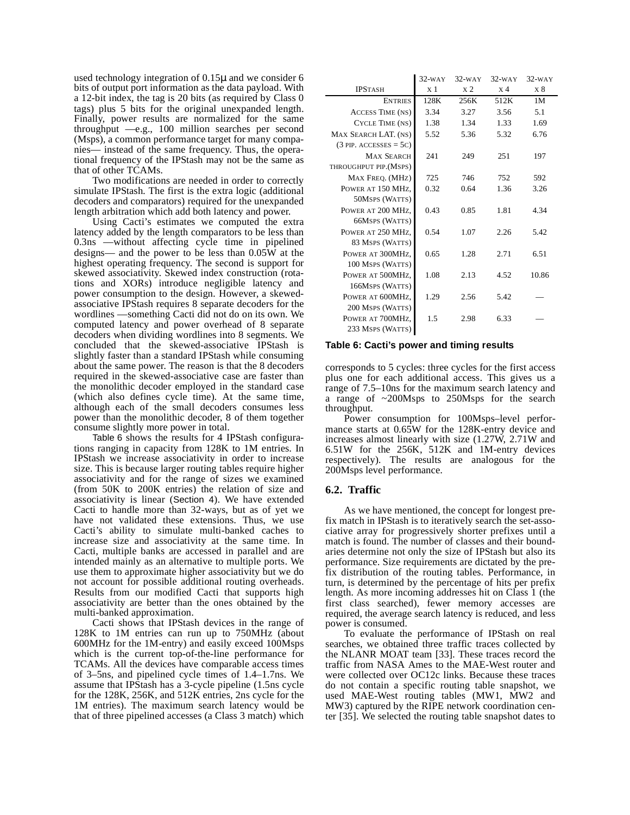used technology integration of 0.15µ and we consider 6 bits of output port information as the data payload. With a 12-bit index, the tag is 20 bits (as required by Class 0 tags) plus 5 bits for the original unexpanded length. Finally, power results are normalized for the same throughput —e.g., 100 million searches per second (Msps), a common performance target for many companies— instead of the same frequency. Thus, the operational frequency of the IPStash may not be the same as that of other TCAMs.

Two modifications are needed in order to correctly simulate IPStash. The first is the extra logic (additional decoders and comparators) required for the unexpanded length arbitration which add both latency and power.

Using Cacti's estimates we computed the extra latency added by the length comparators to be less than 0.3ns —without affecting cycle time in pipelined designs— and the power to be less than 0.05W at the highest operating frequency. The second is support for skewed associativity. Skewed index construction (rotations and XORs) introduce negligible latency and power consumption to the design. However, a skewedassociative IPStash requires 8 separate decoders for the wordlines —something Cacti did not do on its own. We computed latency and power overhead of 8 separate decoders when dividing wordlines into 8 segments. We concluded that the skewed-associative IPStash is slightly faster than a standard IPStash while consuming about the same power. The reason is that the 8 decoders required in the skewed-associative case are faster than the monolithic decoder employed in the standard case (which also defines cycle time). At the same time, although each of the small decoders consumes less power than the monolithic decoder, 8 of them together consume slightly more power in total.

[Table 6](#page-8-1) shows the results for 4 IPStash configurations ranging in capacity from 128K to 1M entries. In IPStash we increase associativity in order to increase size. This is because larger routing tables require higher associativity and for the range of sizes we examined (from 50K to 200K entries) the relation of size and associativity is linear ([Section 4](#page-5-0)). We have extended Cacti to handle more than 32-ways, but as of yet we have not validated these extensions. Thus, we use Cacti's ability to simulate multi-banked caches to increase size and associativity at the same time. In Cacti, multiple banks are accessed in parallel and are intended mainly as an alternative to multiple ports. We use them to approximate higher associativity but we do not account for possible additional routing overheads. Results from our modified Cacti that supports high associativity are better than the ones obtained by the multi-banked approximation.

Cacti shows that IPStash devices in the range of 128K to 1M entries can run up to 750MHz (about 600MHz for the 1M-entry) and easily exceed 100Msps which is the current top-of-the-line performance for TCAMs. All the devices have comparable access times of 3–5ns, and pipelined cycle times of 1.4–1.7ns. We assume that IPStash has a 3-cycle pipeline (1.5ns cycle for the 128K, 256K, and 512K entries, 2ns cycle for the 1M entries). The maximum search latency would be that of three pipelined accesses (a Class 3 match) which

|                          | $32-WAY$       | $32-WAY$       | $32-WAY$       | $32-WAY$ |
|--------------------------|----------------|----------------|----------------|----------|
| <b>IPSTASH</b>           | x <sub>1</sub> | x <sub>2</sub> | x <sub>4</sub> | X8       |
| <b>ENTRIES</b>           | 128K           | 256K           | 512K           | 1M       |
| <b>ACCESS TIME (NS)</b>  | 3.34           | 3.27           | 3.56           | 5.1      |
| CYCLE TIME (NS)          | 1.38           | 1.34           | 1.33           | 1.69     |
| MAX SEARCH LAT. (NS)     | 5.52           | 5.36           | 5.32           | 6.76     |
| $(3$ PIP. ACCESSES = 5C) |                |                |                |          |
| <b>MAX SEARCH</b>        | 241            | 249            | 251            | 197      |
| THROUGHPUT PIP.(MSPS)    |                |                |                |          |
| MAX FREQ. (MHZ)          | 725            | 746            | 752            | 592      |
| POWER AT 150 MHZ,        | 0.32           | 0.64           | 1.36           | 3.26     |
| 50MSPS (WATTS)           |                |                |                |          |
| POWER AT 200 MHZ,        | 0.43           | 0.85           | 1.81           | 4.34     |
| 66MSPS (WATTS)           |                |                |                |          |
| POWER AT 250 MHZ,        | 0.54           | 1.07           | 2.26           | 5.42     |
| 83 Msps (WATTS)          |                |                |                |          |
| POWER AT 300MHZ,         | 0.65           | 1.28           | 2.71           | 6.51     |
| 100 MSPS (WATTS)         |                |                |                |          |
| POWER AT 500MHZ,         | 1.08           | 2.13           | 4.52           | 10.86    |
| 166Msps (WATTS)          |                |                |                |          |
| POWER AT 600MHZ,         | 1.29           | 2.56           | 5.42           |          |
| 200 Msps (WATTS)         |                |                |                |          |
| POWER AT 700MHZ,         | 1.5            | 2.98           | 6.33           |          |
| 233 Msps (WATTS)         |                |                |                |          |

#### <span id="page-8-1"></span>**Table 6: Cacti's power and timing results**

corresponds to 5 cycles: three cycles for the first access plus one for each additional access. This gives us a range of 7.5–10ns for the maximum search latency and a range of ~200Msps to 250Msps for the search throughput.

Power consumption for 100Msps–level performance starts at 0.65W for the 128K-entry device and increases almost linearly with size (1.27W, 2.71W and 6.51W for the 256K, 512K and 1M-entry devices respectively). The results are analogous for the 200Msps level performance.

# <span id="page-8-0"></span>**6.2. Traffic**

As we have mentioned, the concept for longest prefix match in IPStash is to iteratively search the set-associative array for progressively shorter prefixes until a match is found. The number of classes and their boundaries determine not only the size of IPStash but also its performance. Size requirements are dictated by the prefix distribution of the routing tables. Performance, in turn, is determined by the percentage of hits per prefix length. As more incoming addresses hit on Class 1 (the first class searched), fewer memory accesses are required, the average search latency is reduced, and less power is consumed.

To evaluate the performance of IPStash on real searches, we obtained three traffic traces collected by the NLANR MOAT team [\[33\].](#page-11-29) These traces record the traffic from NASA Ames to the MAE-West router and were collected over OC12c links. Because these traces do not contain a specific routing table snapshot, we used MAE-West routing tables (MW1, MW2 and MW3) captured by the RIPE network coordination center [\[35\]](#page-11-30). We selected the routing table snapshot dates to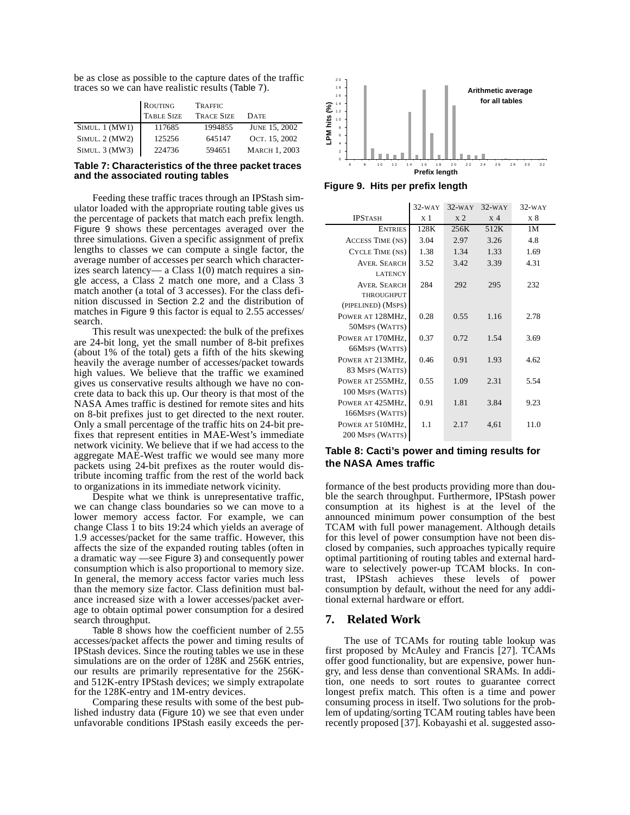be as close as possible to the capture dates of the traffic traces so we can have realistic results ([Table 7](#page-9-2)).

|                       | ROUTING<br><b>TABLE SIZE</b> | TRAFFIC<br><b>TRACE SIZE</b> | <b>DATE</b>          |
|-----------------------|------------------------------|------------------------------|----------------------|
| <b>SIMUL. 1 (MW1)</b> | 117685                       | 1994855                      | <b>JUNE 15, 2002</b> |
| SIMUL. 2 (MW2)        | 125256                       | 645147                       | Ост. 15, 2002        |
| SIMUL. 3 (MW3)        | 224736                       | 594651                       | <b>MARCH 1, 2003</b> |

#### <span id="page-9-2"></span>**Table 7: Characteristics of the three packet traces and the associated routing tables**

Feeding these traffic traces through an IPStash simulator loaded with the appropriate routing table gives us the percentage of packets that match each prefix length. [Figure 9](#page-9-3) shows these percentages averaged over the three simulations. Given a specific assignment of prefix lengths to classes we can compute a single factor, the average number of accesses per search which characterizes search latency— a Class 1(0) match requires a single access, a Class 2 match one more, and a Class 3 match another (a total of 3 accesses). For the class definition discussed in [Section 2.2](#page-2-1) and the distribution of matches in [Figure 9](#page-9-3) this factor is equal to 2.55 accesses/ search.

This result was unexpected: the bulk of the prefixes are 24-bit long, yet the small number of 8-bit prefixes (about 1% of the total) gets a fifth of the hits skewing heavily the average number of accesses/packet towards high values. We believe that the traffic we examined gives us conservative results although we have no concrete data to back this up. Our theory is that most of the NASA Ames traffic is destined for remote sites and hits on 8-bit prefixes just to get directed to the next router. Only a small percentage of the traffic hits on 24-bit prefixes that represent entities in MAE-West's immediate network vicinity. We believe that if we had access to the aggregate MAE-West traffic we would see many more packets using 24-bit prefixes as the router would distribute incoming traffic from the rest of the world back to organizations in its immediate network vicinity.

Despite what we think is unrepresentative traffic, we can change class boundaries so we can move to a lower memory access factor. For example, we can change Class 1 to bits 19:24 which yields an average of 1.9 accesses/packet for the same traffic. However, this affects the size of the expanded routing tables (often in a dramatic way —see [Figure 3](#page-4-2)) and consequently power consumption which is also proportional to memory size. In general, the memory access factor varies much less than the memory size factor. Class definition must balance increased size with a lower accesses/packet average to obtain optimal power consumption for a desired search throughput.

[Table 8](#page-9-1) shows how the coefficient number of 2.55 accesses/packet affects the power and timing results of IPStash devices. Since the routing tables we use in these simulations are on the order of 128K and 256K entries, our results are primarily representative for the 256Kand 512K-entry IPStash devices; we simply extrapolate for the 128K-entry and 1M-entry devices.

Comparing these results with some of the best published industry data ([Figure 10](#page-10-1)) we see that even under unfavorable conditions IPStash easily exceeds the per-



<span id="page-9-3"></span>**Figure 9. Hits per prefix length**

|                         | $32-WAY$       | $32-WAY$       | $32-WAY$       | $32-WAY$ |
|-------------------------|----------------|----------------|----------------|----------|
| <b>IPSTASH</b>          | X <sub>1</sub> | x <sub>2</sub> | x <sub>4</sub> | x 8      |
| <b>ENTRIES</b>          | 128K           | 256K           | 512K           | 1M       |
| <b>ACCESS TIME (NS)</b> | 3.04           | 2.97           | 3.26           | 4.8      |
| CYCLE TIME (NS)         | 1.38           | 1.34           | 1.33           | 1.69     |
| <b>AVER. SEARCH</b>     | 3.52           | 3.42           | 3.39           | 4.31     |
| <b>LATENCY</b>          |                |                |                |          |
| <b>AVER. SEARCH</b>     | 284            | 292            | 295            | 232      |
| THROUGHPUT              |                |                |                |          |
| (PIPELINED) (MSPS)      |                |                |                |          |
| POWER AT 128MHZ,        | 0.28           | 0.55           | 1.16           | 2.78     |
| 50MSPS (WATTS)          |                |                |                |          |
| POWER AT 170MHZ,        | 0.37           | 0.72           | 1.54           | 3.69     |
| 66Msps (WATTS)          |                |                |                |          |
| POWER AT 213MHZ,        | 0.46           | 0.91           | 1.93           | 4.62     |
| 83 Msps (WATTS)         |                |                |                |          |
| POWER AT 255MHz,        | 0.55           | 1.09           | 2.31           | 5.54     |
| 100 Msps (WATTS)        |                |                |                |          |
| POWER AT 425MHZ,        | 0.91           | 1.81           | 3.84           | 9.23     |
| 166Msps (WATTS)         |                |                |                |          |
| POWER AT 510MHZ,        | 1.1            | 2.17           | 4,61           | 11.0     |
| 200 Msps (WATTS)        |                |                |                |          |

# <span id="page-9-1"></span>**Table 8: Cacti's power and timing results for the NASA Ames traffic**

formance of the best products providing more than double the search throughput. Furthermore, IPStash power consumption at its highest is at the level of the announced minimum power consumption of the best TCAM with full power management. Although details for this level of power consumption have not been disclosed by companies, such approaches typically require optimal partitioning of routing tables and external hardware to selectively power-up TCAM blocks. In contrast, IPStash achieves these levels of power consumption by default, without the need for any additional external hardware or effort.

# <span id="page-9-0"></span>**7. Related Work**

The use of TCAMs for routing table lookup was first proposed by McAuley and Francis  $[27]$ . TCAMs offer good functionality, but are expensive, power hungry, and less dense than conventional SRAMs. In addition, one needs to sort routes to guarantee correct longest prefix match. This often is a time and power consuming process in itself. Two solutions for the problem of updating/sorting TCAM routing tables have been recently proposed [\[37\].](#page-11-14) Kobayashi et al. suggested asso-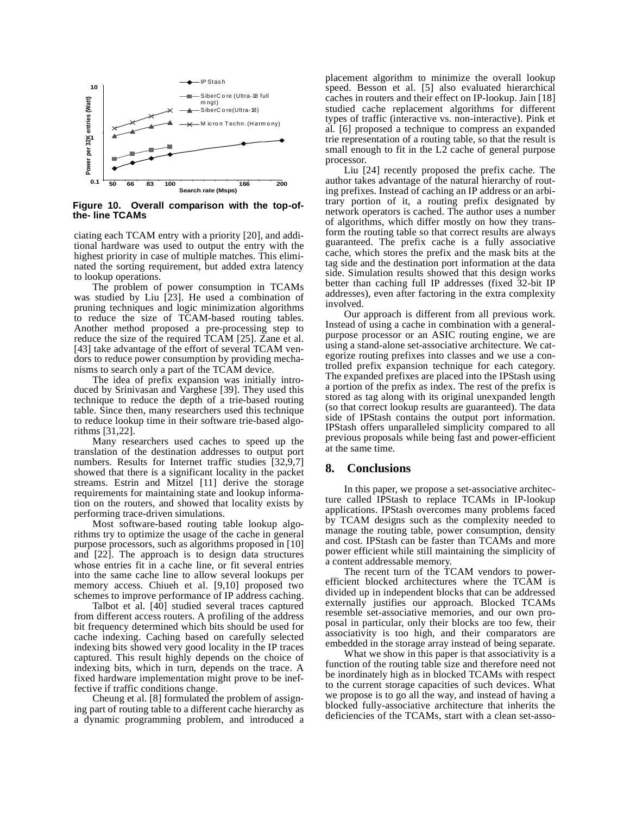

<span id="page-10-1"></span>**Figure 10. Overall comparison with the top-ofthe- line TCAMs**

ciating each TCAM entry with a priority [\[20\]](#page-11-15), and additional hardware was used to output the entry with the highest priority in case of multiple matches. This eliminated the sorting requirement, but added extra latency to lookup operations.

The problem of power consumption in TCAMs was studied by Liu [\[23\]](#page-11-22). He used a combination of pruning techniques and logic minimization algorithms to reduce the size of TCAM-based routing tables. Another method proposed a pre-processing step to reduce the size of the required TCAM [\[25\].](#page-11-32) Zane et al. [\[43\]](#page-11-17) take advantage of the effort of several TCAM vendors to reduce power consumption by providing mechanisms to search only a part of the TCAM device.

The idea of prefix expansion was initially introduced by Srinivasan and Varghese [\[39\].](#page-11-9) They used this technique to reduce the depth of a trie-based routing table. Since then, many researchers used this technique to reduce lookup time in their software trie-based algorithms [\[31](#page-11-10),[22\]](#page-11-33).

Many researchers used caches to speed up the translation of the destination addresses to output port numbers. Results for Internet traffic studies [\[32](#page-11-34),[9,](#page-11-35)[7\]](#page-11-36) showed that there is a significant locality in the packet streams. Estrin and Mitzel [\[11\]](#page-11-37) derive the storage requirements for maintaining state and lookup information on the routers, and showed that locality exists by performing trace-driven simulations.

Most software-based routing table lookup algorithms try to optimize the usage of the cache in general purpose processors, such as algorithms proposed in [\[10\]](#page-11-38) and [\[22\]](#page-11-33). The approach is to design data structures whose entries fit in a cache line, or fit several entries into the same cache line to allow several lookups per memory access. Chiueh et al. [\[9](#page-11-35),[10\]](#page-11-38) proposed two schemes to improve performance of IP address caching.

Talbot et al. [\[40\]](#page-11-39) studied several traces captured from different access routers. A profiling of the address bit frequency determined which bits should be used for cache indexing. Caching based on carefully selected indexing bits showed very good locality in the IP traces captured. This result highly depends on the choice of indexing bits, which in turn, depends on the trace. A fixed hardware implementation might prove to be ineffective if traffic conditions change.

Cheung et al. [\[8\]](#page-11-12) formulated the problem of assigning part of routing table to a different cache hierarchy as a dynamic programming problem, and introduced a placement algorithm to minimize the overall lookup speed. Besson et al. [\[5\]](#page-11-40) also evaluated hierarchical caches in routers and their effect on IP-lookup. Jain [\[18\]](#page-11-41) studied cache replacement algorithms for different types of traffic (interactive vs. non-interactive). Pink et al. [\[6\]](#page-11-11) proposed a technique to compress an expanded trie representation of a routing table, so that the result is small enough to fit in the L<sub>2</sub> cache of general purpose processor.

Liu [\[24\]](#page-11-42) recently proposed the prefix cache. The author takes advantage of the natural hierarchy of routing prefixes. Instead of caching an IP address or an arbitrary portion of it, a routing prefix designated by network operators is cached. The author uses a number of algorithms, which differ mostly on how they transform the routing table so that correct results are always guaranteed. The prefix cache is a fully associative cache, which stores the prefix and the mask bits at the tag side and the destination port information at the data side. Simulation results showed that this design works better than caching full IP addresses (fixed 32-bit IP addresses), even after factoring in the extra complexity involved.

Our approach is different from all previous work. Instead of using a cache in combination with a generalpurpose processor or an ASIC routing engine, we are using a stand-alone set-associative architecture. We categorize routing prefixes into classes and we use a controlled prefix expansion technique for each category. The expanded prefixes are placed into the IPStash using a portion of the prefix as index. The rest of the prefix is stored as tag along with its original unexpanded length (so that correct lookup results are guaranteed). The data side of IPStash contains the output port information. IPStash offers unparalleled simplicity compared to all previous proposals while being fast and power-efficient at the same time.

# <span id="page-10-0"></span>**8. Conclusions**

In this paper, we propose a set-associative architecture called IPStash to replace TCAMs in IP-lookup applications. IPStash overcomes many problems faced by TCAM designs such as the complexity needed to manage the routing table, power consumption, density and cost. IPStash can be faster than TCAMs and more power efficient while still maintaining the simplicity of a content addressable memory.

The recent turn of the TCAM vendors to powerefficient blocked architectures where the TCAM is divided up in independent blocks that can be addressed externally justifies our approach. Blocked TCAMs resemble set-associative memories, and our own proposal in particular, only their blocks are too few, their associativity is too high, and their comparators are embedded in the storage array instead of being separate.

What we show in this paper is that associativity is a function of the routing table size and therefore need not be inordinately high as in blocked TCAMs with respect to the current storage capacities of such devices. What we propose is to go all the way, and instead of having a blocked fully-associative architecture that inherits the deficiencies of the TCAMs, start with a clean set-asso